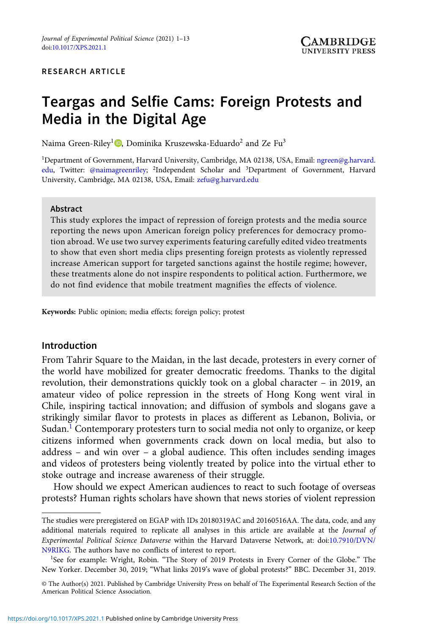# RESEARCH ARTICLE

# Teargas and Selfie Cams: Foreign Protests and Media in the Digital Age

Naima Green-Riley<sup>1</sup><sup>1</sup>[,](https://orcid.org/0000-0002-8444-608X) Dominika Kruszewska-Eduardo<sup>2</sup> and Ze Fu<sup>3</sup>

1 Department of Government, Harvard University, Cambridge, MA 02138, USA, Email: [ngreen@g.harvard.](mailto:ngreen@g.harvard.edu) [edu](mailto:ngreen@g.harvard.edu), Twitter: [@naimagreenriley;](mailto:@naimagreenriley) <sup>2</sup>Independent Scholar and <sup>3</sup>Department of Government, Harvard University, Cambridge, MA 02138, USA, Email: [zefu@g.harvard.edu](mailto:zefu@g.harvard.edu)

#### Abstract

This study explores the impact of repression of foreign protests and the media source reporting the news upon American foreign policy preferences for democracy promotion abroad. We use two survey experiments featuring carefully edited video treatments to show that even short media clips presenting foreign protests as violently repressed increase American support for targeted sanctions against the hostile regime; however, these treatments alone do not inspire respondents to political action. Furthermore, we do not find evidence that mobile treatment magnifies the effects of violence.

Keywords: Public opinion; media effects; foreign policy; protest

## Introduction

From Tahrir Square to the Maidan, in the last decade, protesters in every corner of the world have mobilized for greater democratic freedoms. Thanks to the digital revolution, their demonstrations quickly took on a global character – in 2019, an amateur video of police repression in the streets of Hong Kong went viral in Chile, inspiring tactical innovation; and diffusion of symbols and slogans gave a strikingly similar flavor to protests in places as different as Lebanon, Bolivia, or Sudan.<sup>1</sup> Contemporary protesters turn to social media not only to organize, or keep citizens informed when governments crack down on local media, but also to address – and win over – a global audience. This often includes sending images and videos of protesters being violently treated by police into the virtual ether to stoke outrage and increase awareness of their struggle.

How should we expect American audiences to react to such footage of overseas protests? Human rights scholars have shown that news stories of violent repression

The studies were preregistered on EGAP with IDs 20180319AC and 20160516AA. The data, code, and any additional materials required to replicate all analyses in this article are available at the Journal of Experimental Political Science Dataverse within the Harvard Dataverse Network, at: doi[:10.7910/DVN/](https://doi.org/10.7910/DVN/N9RIKG) [N9RIKG.](https://doi.org/10.7910/DVN/N9RIKG) The authors have no conflicts of interest to report.

<sup>&</sup>lt;sup>1</sup>See for example: Wright, Robin. "The Story of 2019 Protests in Every Corner of the Globe." The New Yorker. December 30, 2019; "What links 2019's wave of global protests?" BBC. December 31, 2019.

<sup>©</sup> The Author(s) 2021. Published by Cambridge University Press on behalf of The Experimental Research Section of the American Political Science Association.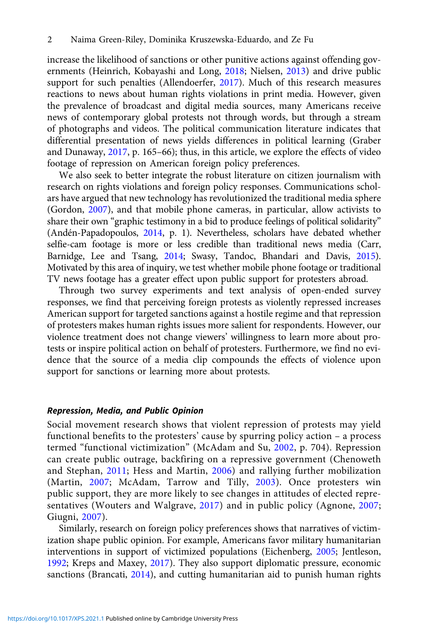increase the likelihood of sanctions or other punitive actions against offending governments (Heinrich, Kobayashi and Long, [2018;](#page-11-0) Nielsen, [2013](#page-12-0)) and drive public support for such penalties (Allendoerfer, [2017](#page-11-0)). Much of this research measures reactions to news about human rights violations in print media. However, given the prevalence of broadcast and digital media sources, many Americans receive news of contemporary global protests not through words, but through a stream of photographs and videos. The political communication literature indicates that differential presentation of news yields differences in political learning (Graber and Dunaway, [2017,](#page-11-0) p. 165–66); thus, in this article, we explore the effects of video footage of repression on American foreign policy preferences.

We also seek to better integrate the robust literature on citizen journalism with research on rights violations and foreign policy responses. Communications scholars have argued that new technology has revolutionized the traditional media sphere (Gordon, [2007\)](#page-11-0), and that mobile phone cameras, in particular, allow activists to share their own "graphic testimony in a bid to produce feelings of political solidarity" (Andén-Papadopoulos, [2014](#page-11-0), p. 1). Nevertheless, scholars have debated whether selfie-cam footage is more or less credible than traditional news media (Carr, Barnidge, Lee and Tsang, [2014](#page-11-0); Swasy, Tandoc, Bhandari and Davis, [2015](#page-12-0)). Motivated by this area of inquiry, we test whether mobile phone footage or traditional TV news footage has a greater effect upon public support for protesters abroad.

Through two survey experiments and text analysis of open-ended survey responses, we find that perceiving foreign protests as violently repressed increases American support for targeted sanctions against a hostile regime and that repression of protesters makes human rights issues more salient for respondents. However, our violence treatment does not change viewers' willingness to learn more about protests or inspire political action on behalf of protesters. Furthermore, we find no evidence that the source of a media clip compounds the effects of violence upon support for sanctions or learning more about protests.

#### Repression, Media, and Public Opinion

Social movement research shows that violent repression of protests may yield functional benefits to the protesters' cause by spurring policy action – a process termed "functional victimization" (McAdam and Su, [2002,](#page-12-0) p. 704). Repression can create public outrage, backfiring on a repressive government (Chenoweth and Stephan, [2011](#page-11-0); Hess and Martin, [2006](#page-11-0)) and rallying further mobilization (Martin, [2007](#page-12-0); McAdam, Tarrow and Tilly, [2003\)](#page-12-0). Once protesters win public support, they are more likely to see changes in attitudes of elected representatives (Wouters and Walgrave, [2017\)](#page-12-0) and in public policy (Agnone, [2007;](#page-11-0) Giugni, [2007\)](#page-11-0).

Similarly, research on foreign policy preferences shows that narratives of victimization shape public opinion. For example, Americans favor military humanitarian interventions in support of victimized populations (Eichenberg, [2005;](#page-11-0) Jentleson, [1992;](#page-11-0) Kreps and Maxey, [2017\)](#page-12-0). They also support diplomatic pressure, economic sanctions (Brancati, [2014\)](#page-11-0), and cutting humanitarian aid to punish human rights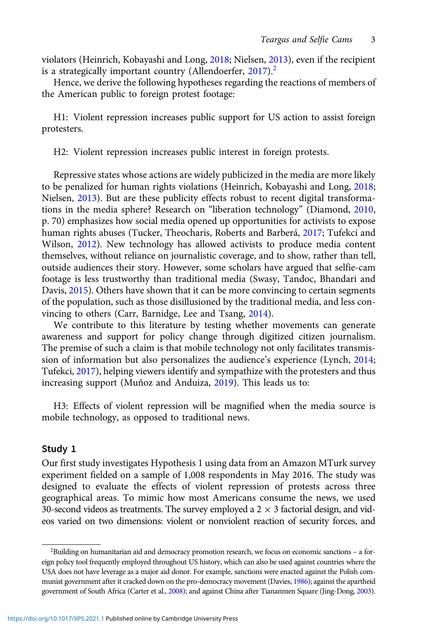violators (Heinrich, Kobayashi and Long, [2018](#page-11-0); Nielsen, [2013](#page-12-0)), even if the recipient is a strategically important country (Allendoerfer,  $2017$ ).<sup>2</sup>

Hence, we derive the following hypotheses regarding the reactions of members of the American public to foreign protest footage:

H1: Violent repression increases public support for US action to assist foreign protesters.

H2: Violent repression increases public interest in foreign protests.

Repressive states whose actions are widely publicized in the media are more likely to be penalized for human rights violations (Heinrich, Kobayashi and Long, [2018](#page-11-0); Nielsen, [2013\)](#page-12-0). But are these publicity effects robust to recent digital transformations in the media sphere? Research on "liberation technology" (Diamond, [2010](#page-11-0), p. 70) emphasizes how social media opened up opportunities for activists to expose human rights abuses (Tucker, Theocharis, Roberts and Barberá, [2017](#page-12-0); Tufekci and Wilson, [2012](#page-12-0)). New technology has allowed activists to produce media content themselves, without reliance on journalistic coverage, and to show, rather than tell, outside audiences their story. However, some scholars have argued that selfie-cam footage is less trustworthy than traditional media (Swasy, Tandoc, Bhandari and Davis, [2015\)](#page-12-0). Others have shown that it can be more convincing to certain segments of the population, such as those disillusioned by the traditional media, and less convincing to others (Carr, Barnidge, Lee and Tsang, [2014\)](#page-11-0).

We contribute to this literature by testing whether movements can generate awareness and support for policy change through digitized citizen journalism. The premise of such a claim is that mobile technology not only facilitates transmission of information but also personalizes the audience's experience (Lynch, [2014](#page-12-0); Tufekci, [2017](#page-12-0)), helping viewers identify and sympathize with the protesters and thus increasing support (Muñoz and Anduiza, [2019\)](#page-12-0). This leads us to:

H3: Effects of violent repression will be magnified when the media source is mobile technology, as opposed to traditional news.

# Study 1

Our first study investigates Hypothesis 1 using data from an Amazon MTurk survey experiment fielded on a sample of 1,008 respondents in May 2016. The study was designed to evaluate the effects of violent repression of protests across three geographical areas. To mimic how most Americans consume the news, we used 30-second videos as treatments. The survey employed a  $2 \times 3$  factorial design, and videos varied on two dimensions: violent or nonviolent reaction of security forces, and

<sup>&</sup>lt;sup>2</sup>Building on humanitarian aid and democracy promotion research, we focus on economic sanctions - a foreign policy tool frequently employed throughout US history, which can also be used against countries where the USA does not have leverage as a major aid donor. For example, sanctions were enacted against the Polish communist government after it cracked down on the pro-democracy movement (Davies, [1986\)](#page-11-0); against the apartheid government of South Africa (Carter et al., [2008](#page-11-0)); and against China after Tiananmen Square (Jing-Dong, [2003](#page-11-0)).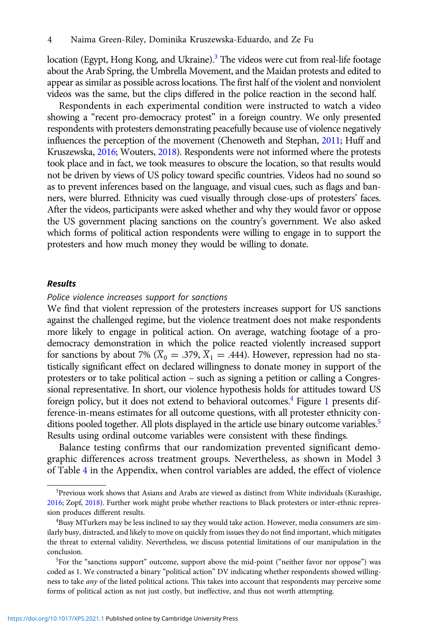location (Egypt, Hong Kong, and Ukraine).<sup>3</sup> The videos were cut from real-life footage about the Arab Spring, the Umbrella Movement, and the Maidan protests and edited to appear as similar as possible across locations. The first half of the violent and nonviolent videos was the same, but the clips differed in the police reaction in the second half.

Respondents in each experimental condition were instructed to watch a video showing a "recent pro-democracy protest" in a foreign country. We only presented respondents with protesters demonstrating peacefully because use of violence negatively influences the perception of the movement (Chenoweth and Stephan, [2011;](#page-11-0) Huff and Kruszewska, [2016;](#page-11-0) Wouters, [2018\)](#page-12-0). Respondents were not informed where the protests took place and in fact, we took measures to obscure the location, so that results would not be driven by views of US policy toward specific countries. Videos had no sound so as to prevent inferences based on the language, and visual cues, such as flags and banners, were blurred. Ethnicity was cued visually through close-ups of protesters' faces. After the videos, participants were asked whether and why they would favor or oppose the US government placing sanctions on the country's government. We also asked which forms of political action respondents were willing to engage in to support the protesters and how much money they would be willing to donate.

### Results

#### Police violence increases support for sanctions

We find that violent repression of the protesters increases support for US sanctions against the challenged regime, but the violence treatment does not make respondents more likely to engage in political action. On average, watching footage of a prodemocracy demonstration in which the police reacted violently increased support for sanctions by about 7% ( $\overline{X}_0 = .379$ ,  $\overline{X}_1 = .444$ ). However, repression had no statistically significant effect on declared willingness to donate money in support of the protesters or to take political action – such as signing a petition or calling a Congressional representative. In short, our violence hypothesis holds for attitudes toward US foreign policy, but it does not extend to behavioral outcomes.4 Figure [1](#page-4-0) presents difference-in-means estimates for all outcome questions, with all protester ethnicity conditions pooled together. All plots displayed in the article use binary outcome variables.<sup>5</sup> Results using ordinal outcome variables were consistent with these findings.

Balance testing confirms that our randomization prevented significant demographic differences across treatment groups. Nevertheless, as shown in Model 3 of Table [4](https://doi.org/10.1017/XPS.2021.1) in the Appendix, when control variables are added, the effect of violence

<sup>3</sup> Previous work shows that Asians and Arabs are viewed as distinct from White individuals (Kurashige, [2016](#page-12-0); Zopf, [2018\)](#page-12-0). Further work might probe whether reactions to Black protesters or inter-ethnic repression produces different results.

<sup>4</sup> Busy MTurkers may be less inclined to say they would take action. However, media consumers are similarly busy, distracted, and likely to move on quickly from issues they do not find important, which mitigates the threat to external validity. Nevertheless, we discuss potential limitations of our manipulation in the conclusion.

<sup>&</sup>lt;sup>5</sup>For the "sanctions support" outcome, support above the mid-point ("neither favor nor oppose") was coded as 1. We constructed a binary "political action" DV indicating whether respondents showed willingness to take any of the listed political actions. This takes into account that respondents may perceive some forms of political action as not just costly, but ineffective, and thus not worth attempting.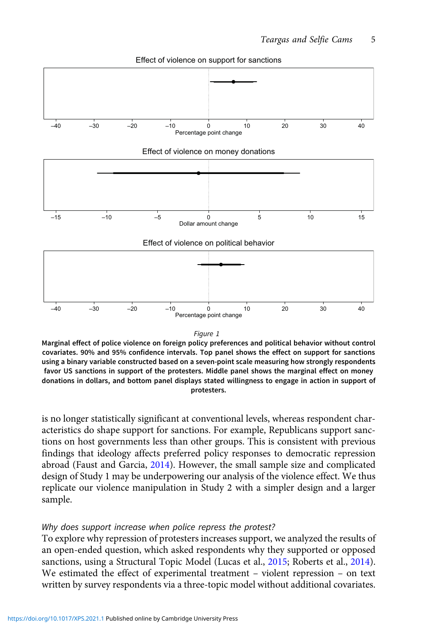<span id="page-4-0"></span>

Effect of violence on support for sanctions



Marginal effect of police violence on foreign policy preferences and political behavior without control covariates. 90% and 95% confidence intervals. Top panel shows the effect on support for sanctions using a binary variable constructed based on a seven-point scale measuring how strongly respondents favor US sanctions in support of the protesters. Middle panel shows the marginal effect on money donations in dollars, and bottom panel displays stated willingness to engage in action in support of protesters.

is no longer statistically significant at conventional levels, whereas respondent characteristics do shape support for sanctions. For example, Republicans support sanctions on host governments less than other groups. This is consistent with previous findings that ideology affects preferred policy responses to democratic repression abroad (Faust and Garcia, [2014\)](#page-11-0). However, the small sample size and complicated design of Study 1 may be underpowering our analysis of the violence effect. We thus replicate our violence manipulation in Study 2 with a simpler design and a larger sample.

### Why does support increase when police repress the protest?

To explore why repression of protesters increases support, we analyzed the results of an open-ended question, which asked respondents why they supported or opposed sanctions, using a Structural Topic Model (Lucas et al., [2015](#page-12-0); Roberts et al., [2014\)](#page-12-0). We estimated the effect of experimental treatment – violent repression – on text written by survey respondents via a three-topic model without additional covariates.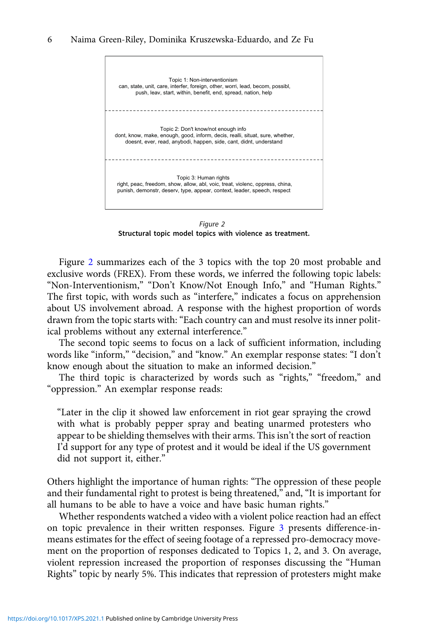

Figure 2 Structural topic model topics with violence as treatment.

Figure 2 summarizes each of the 3 topics with the top 20 most probable and exclusive words (FREX). From these words, we inferred the following topic labels: "Non-Interventionism," "Don't Know/Not Enough Info," and "Human Rights." The first topic, with words such as "interfere," indicates a focus on apprehension about US involvement abroad. A response with the highest proportion of words drawn from the topic starts with: "Each country can and must resolve its inner political problems without any external interference."

The second topic seems to focus on a lack of sufficient information, including words like "inform," "decision," and "know." An exemplar response states: "I don't know enough about the situation to make an informed decision."

The third topic is characterized by words such as "rights," "freedom," and "oppression." An exemplar response reads:

"Later in the clip it showed law enforcement in riot gear spraying the crowd with what is probably pepper spray and beating unarmed protesters who appear to be shielding themselves with their arms. This isn't the sort of reaction I'd support for any type of protest and it would be ideal if the US government did not support it, either."

Others highlight the importance of human rights: "The oppression of these people and their fundamental right to protest is being threatened," and, "It is important for all humans to be able to have a voice and have basic human rights."

Whether respondents watched a video with a violent police reaction had an effect on topic prevalence in their written responses. Figure [3](#page-6-0) presents difference-inmeans estimates for the effect of seeing footage of a repressed pro-democracy movement on the proportion of responses dedicated to Topics 1, 2, and 3. On average, violent repression increased the proportion of responses discussing the "Human Rights" topic by nearly 5%. This indicates that repression of protesters might make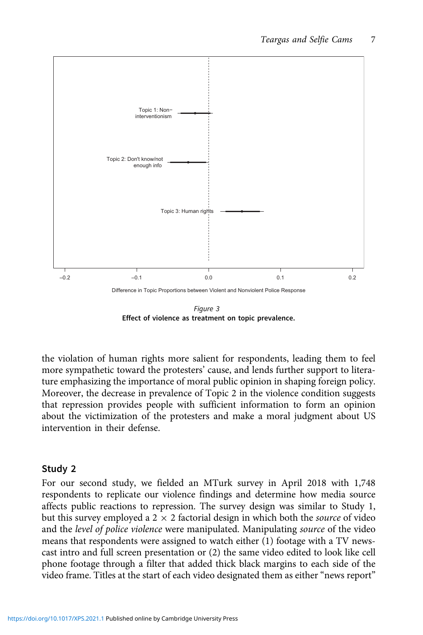<span id="page-6-0"></span>

Figure 3 Effect of violence as treatment on topic prevalence.

the violation of human rights more salient for respondents, leading them to feel more sympathetic toward the protesters' cause, and lends further support to literature emphasizing the importance of moral public opinion in shaping foreign policy. Moreover, the decrease in prevalence of Topic 2 in the violence condition suggests that repression provides people with sufficient information to form an opinion about the victimization of the protesters and make a moral judgment about US intervention in their defense.

# Study 2

For our second study, we fielded an MTurk survey in April 2018 with 1,748 respondents to replicate our violence findings and determine how media source affects public reactions to repression. The survey design was similar to Study 1, but this survey employed a  $2 \times 2$  factorial design in which both the *source* of video and the level of police violence were manipulated. Manipulating source of the video means that respondents were assigned to watch either (1) footage with a TV newscast intro and full screen presentation or (2) the same video edited to look like cell phone footage through a filter that added thick black margins to each side of the video frame. Titles at the start of each video designated them as either "news report"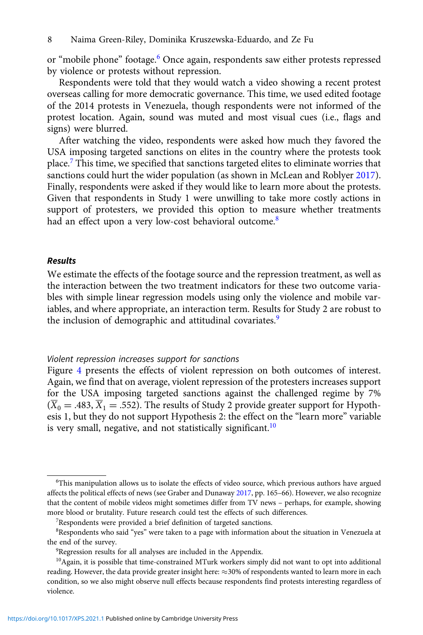or "mobile phone" footage.<sup>6</sup> Once again, respondents saw either protests repressed by violence or protests without repression.

Respondents were told that they would watch a video showing a recent protest overseas calling for more democratic governance. This time, we used edited footage of the 2014 protests in Venezuela, though respondents were not informed of the protest location. Again, sound was muted and most visual cues (i.e., flags and signs) were blurred.

After watching the video, respondents were asked how much they favored the USA imposing targeted sanctions on elites in the country where the protests took place.<sup>7</sup> This time, we specified that sanctions targeted elites to eliminate worries that sanctions could hurt the wider population (as shown in McLean and Roblyer [2017](#page-12-0)). Finally, respondents were asked if they would like to learn more about the protests. Given that respondents in Study 1 were unwilling to take more costly actions in support of protesters, we provided this option to measure whether treatments had an effect upon a very low-cost behavioral outcome.<sup>8</sup>

#### Results

We estimate the effects of the footage source and the repression treatment, as well as the interaction between the two treatment indicators for these two outcome variables with simple linear regression models using only the violence and mobile variables, and where appropriate, an interaction term. Results for Study 2 are robust to the inclusion of demographic and attitudinal covariates.<sup>9</sup>

#### Violent repression increases support for sanctions

Figure [4](#page-8-0) presents the effects of violent repression on both outcomes of interest. Again, we find that on average, violent repression of the protesters increases support for the USA imposing targeted sanctions against the challenged regime by 7%  $(\overline{X}_0 = .483, \overline{X}_1 = .552)$ . The results of Study 2 provide greater support for Hypothesis 1, but they do not support Hypothesis 2: the effect on the "learn more" variable is very small, negative, and not statistically significant.<sup>10</sup>

<sup>6</sup> This manipulation allows us to isolate the effects of video source, which previous authors have argued affects the political effects of news (see Graber and Dunaway [2017,](#page-11-0) pp. 165–66). However, we also recognize that the content of mobile videos might sometimes differ from TV news – perhaps, for example, showing more blood or brutality. Future research could test the effects of such differences.

<sup>7</sup> Respondents were provided a brief definition of targeted sanctions.

<sup>8</sup> Respondents who said "yes" were taken to a page with information about the situation in Venezuela at the end of the survey.

<sup>&</sup>lt;sup>9</sup>Regression results for all analyses are included in the Appendix.

<sup>&</sup>lt;sup>10</sup> Again, it is possible that time-constrained MTurk workers simply did not want to opt into additional reading. However, the data provide greater insight here:  $\approx$ 30% of respondents wanted to learn more in each condition, so we also might observe null effects because respondents find protests interesting regardless of violence.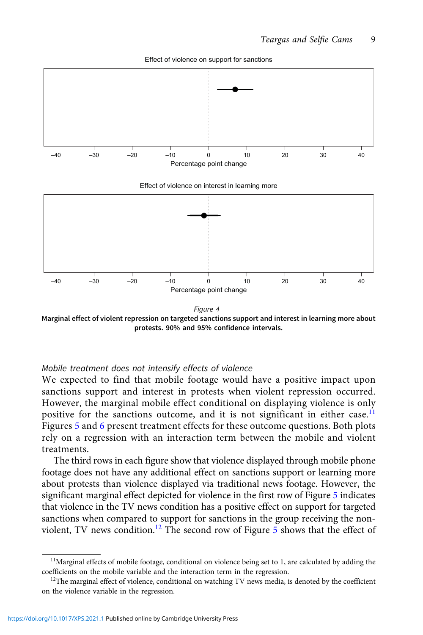<span id="page-8-0"></span>

Effect of violence on support for sanctions

Figure 4 Marginal effect of violent repression on targeted sanctions support and interest in learning more about protests. 90% and 95% confidence intervals.

–40 –30 –20 –10 0 10 20 30 40 Percentage point change

#### Mobile treatment does not intensify effects of violence

We expected to find that mobile footage would have a positive impact upon sanctions support and interest in protests when violent repression occurred. However, the marginal mobile effect conditional on displaying violence is only positive for the sanctions outcome, and it is not significant in either case.<sup>11</sup> Figures [5](#page-9-0) and [6](#page-10-0) present treatment effects for these outcome questions. Both plots rely on a regression with an interaction term between the mobile and violent treatments.

The third rows in each figure show that violence displayed through mobile phone footage does not have any additional effect on sanctions support or learning more about protests than violence displayed via traditional news footage. However, the significant marginal effect depicted for violence in the first row of Figure [5](#page-9-0) indicates that violence in the TV news condition has a positive effect on support for targeted sanctions when compared to support for sanctions in the group receiving the nonviolent, TV news condition.<sup>12</sup> The second row of Figure  $5$  shows that the effect of

<sup>&</sup>lt;sup>11</sup>Marginal effects of mobile footage, conditional on violence being set to 1, are calculated by adding the coefficients on the mobile variable and the interaction term in the regression.

 $12$ The marginal effect of violence, conditional on watching TV news media, is denoted by the coefficient on the violence variable in the regression.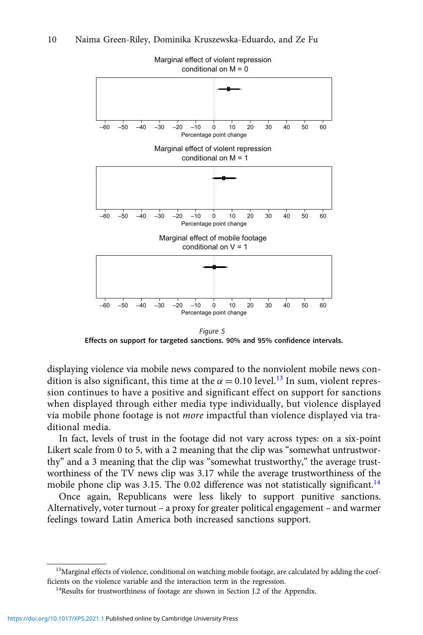<span id="page-9-0"></span>

Marginal effect of violent repression

Figure 5 Effects on support for targeted sanctions. 90% and 95% confidence intervals.

displaying violence via mobile news compared to the nonviolent mobile news condition is also significant, this time at the  $\alpha = 0.10$  level.<sup>13</sup> In sum, violent repression continues to have a positive and significant effect on support for sanctions when displayed through either media type individually, but violence displayed via mobile phone footage is not more impactful than violence displayed via traditional media.

In fact, levels of trust in the footage did not vary across types: on a six-point Likert scale from 0 to 5, with a 2 meaning that the clip was "somewhat untrustworthy" and a 3 meaning that the clip was "somewhat trustworthy," the average trustworthiness of the TV news clip was 3.17 while the average trustworthiness of the mobile phone clip was 3.15. The 0.02 difference was not statistically significant.<sup>14</sup>

Once again, Republicans were less likely to support punitive sanctions. Alternatively, voter turnout – a proxy for greater political engagement – and warmer feelings toward Latin America both increased sanctions support.

<sup>&</sup>lt;sup>13</sup>Marginal effects of violence, conditional on watching mobile footage, are calculated by adding the coefficients on the violence variable and the interaction term in the regression.

<sup>&</sup>lt;sup>14</sup>Results for trustworthiness of footage are shown in Section J.2 of the Appendix.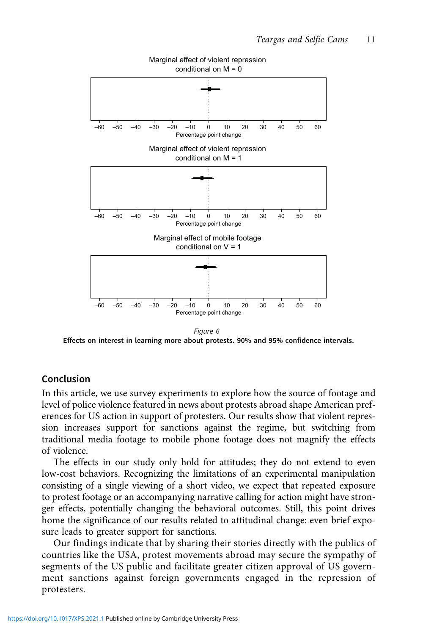<span id="page-10-0"></span>

Figure 6

Effects on interest in learning more about protests. 90% and 95% confidence intervals.

### Conclusion

In this article, we use survey experiments to explore how the source of footage and level of police violence featured in news about protests abroad shape American preferences for US action in support of protesters. Our results show that violent repression increases support for sanctions against the regime, but switching from traditional media footage to mobile phone footage does not magnify the effects of violence.

The effects in our study only hold for attitudes; they do not extend to even low-cost behaviors. Recognizing the limitations of an experimental manipulation consisting of a single viewing of a short video, we expect that repeated exposure to protest footage or an accompanying narrative calling for action might have stronger effects, potentially changing the behavioral outcomes. Still, this point drives home the significance of our results related to attitudinal change: even brief exposure leads to greater support for sanctions.

Our findings indicate that by sharing their stories directly with the publics of countries like the USA, protest movements abroad may secure the sympathy of segments of the US public and facilitate greater citizen approval of US government sanctions against foreign governments engaged in the repression of protesters.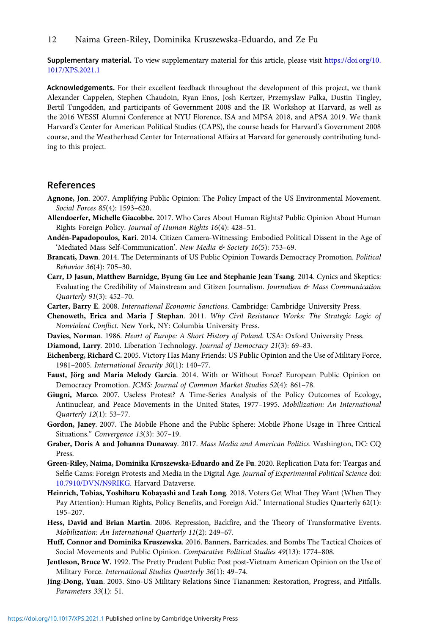<span id="page-11-0"></span>Supplementary material. To view supplementary material for this article, please visit [https://doi.org/10.](https://doi.org/10.1017/XPS.2021.1) [1017/XPS.2021.1](https://doi.org/10.1017/XPS.2021.1)

Acknowledgements. For their excellent feedback throughout the development of this project, we thank Alexander Cappelen, Stephen Chaudoin, Ryan Enos, Josh Kertzer, Przemyslaw Palka, Dustin Tingley, Bertil Tungodden, and participants of Government 2008 and the IR Workshop at Harvard, as well as the 2016 WESSI Alumni Conference at NYU Florence, ISA and MPSA 2018, and APSA 2019. We thank Harvard's Center for American Political Studies (CAPS), the course heads for Harvard's Government 2008 course, and the Weatherhead Center for International Affairs at Harvard for generously contributing funding to this project.

## References

- Agnone, Jon. 2007. Amplifying Public Opinion: The Policy Impact of the US Environmental Movement. Social Forces 85(4): 1593–620.
- Allendoerfer, Michelle Giacobbe. 2017. Who Cares About Human Rights? Public Opinion About Human Rights Foreign Policy. Journal of Human Rights 16(4): 428–51.
- Andén-Papadopoulos, Kari. 2014. Citizen Camera-Witnessing: Embodied Political Dissent in the Age of 'Mediated Mass Self-Communication'. New Media & Society 16(5): 753-69.
- Brancati, Dawn. 2014. The Determinants of US Public Opinion Towards Democracy Promotion. Political Behavior 36(4): 705–30.
- Carr, D Jasun, Matthew Barnidge, Byung Gu Lee and Stephanie Jean Tsang. 2014. Cynics and Skeptics: Evaluating the Credibility of Mainstream and Citizen Journalism. Journalism & Mass Communication Quarterly 91(3): 452–70.
- Carter, Barry E. 2008. International Economic Sanctions. Cambridge: Cambridge University Press.
- Chenoweth, Erica and Maria J Stephan. 2011. Why Civil Resistance Works: The Strategic Logic of Nonviolent Conflict. New York, NY: Columbia University Press.
- Davies, Norman. 1986. Heart of Europe: A Short History of Poland. USA: Oxford University Press.
- Diamond, Larry. 2010. Liberation Technology. Journal of Democracy 21(3): 69–83.
- Eichenberg, Richard C. 2005. Victory Has Many Friends: US Public Opinion and the Use of Military Force, 1981–2005. International Security 30(1): 140–77.
- Faust, Jörg and Maria Melody Garcia. 2014. With or Without Force? European Public Opinion on Democracy Promotion. JCMS: Journal of Common Market Studies 52(4): 861–78.
- Giugni, Marco. 2007. Useless Protest? A Time-Series Analysis of the Policy Outcomes of Ecology, Antinuclear, and Peace Movements in the United States, 1977–1995. Mobilization: An International Quarterly 12(1): 53–77.
- Gordon, Janey. 2007. The Mobile Phone and the Public Sphere: Mobile Phone Usage in Three Critical Situations." Convergence 13(3): 307–19.
- Graber, Doris A and Johanna Dunaway. 2017. Mass Media and American Politics. Washington, DC: CQ Press.
- Green-Riley, Naima, Dominika Kruszewska-Eduardo and Ze Fu. 2020. Replication Data for: Teargas and Selfie Cams: Foreign Protests and Media in the Digital Age. Journal of Experimental Political Science doi: [10.7910/DVN/N9RIKG](https://doi.org/10.7910/DVN/N9RIKG). Harvard Dataverse.
- Heinrich, Tobias, Yoshiharu Kobayashi and Leah Long. 2018. Voters Get What They Want (When They Pay Attention): Human Rights, Policy Benefits, and Foreign Aid." International Studies Quarterly 62(1): 195–207.
- Hess, David and Brian Martin. 2006. Repression, Backfire, and the Theory of Transformative Events. Mobilization: An International Quarterly 11(2): 249–67.
- Huff, Connor and Dominika Kruszewska. 2016. Banners, Barricades, and Bombs The Tactical Choices of Social Movements and Public Opinion. Comparative Political Studies 49(13): 1774–808.
- Jentleson, Bruce W. 1992. The Pretty Prudent Public: Post post-Vietnam American Opinion on the Use of Military Force. International Studies Quarterly 36(1): 49–74.
- Jing-Dong, Yuan. 2003. Sino-US Military Relations Since Tiananmen: Restoration, Progress, and Pitfalls. Parameters 33(1): 51.